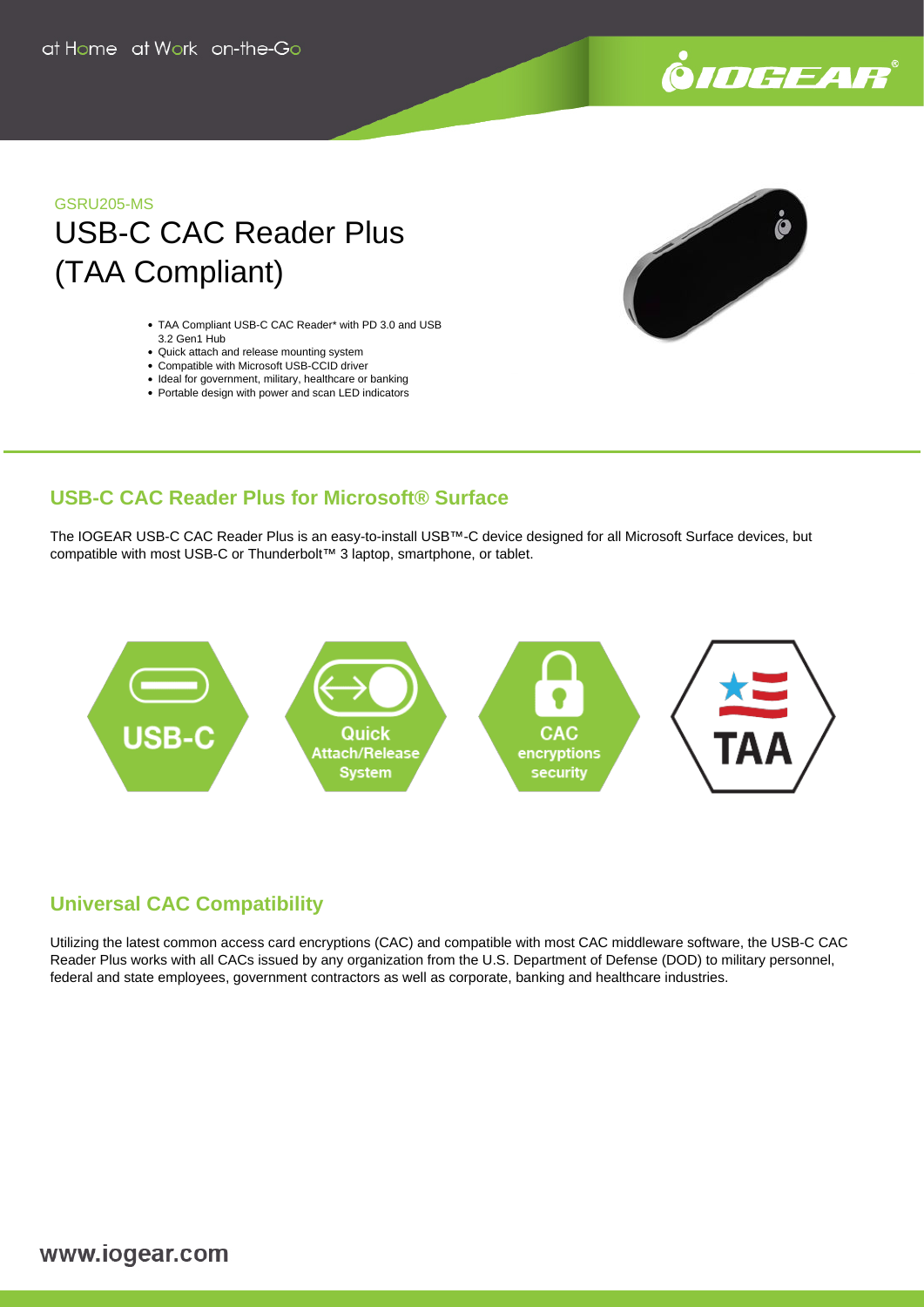

## GSRU205-MS USB-C CAC Reader Plus (TAA Compliant)

- TAA Compliant USB-C CAC Reader\* with PD 3.0 and USB 3.2 Gen1 Hub
- Quick attach and release mounting system
- Compatible with Microsoft USB-CCID driver
- Ideal for government, military, healthcare or banking
- Portable design with power and scan LED indicators



### **USB-C CAC Reader Plus for Microsoft® Surface**

The IOGEAR USB-C CAC Reader Plus is an easy-to-install USB™-C device designed for all Microsoft Surface devices, but compatible with most USB-C or Thunderbolt™ 3 laptop, smartphone, or tablet.



### **Universal CAC Compatibility**

Utilizing the latest common access card encryptions (CAC) and compatible with most CAC middleware software, the USB-C CAC Reader Plus works with all CACs issued by any organization from the U.S. Department of Defense (DOD) to military personnel, federal and state employees, government contractors as well as corporate, banking and healthcare industries.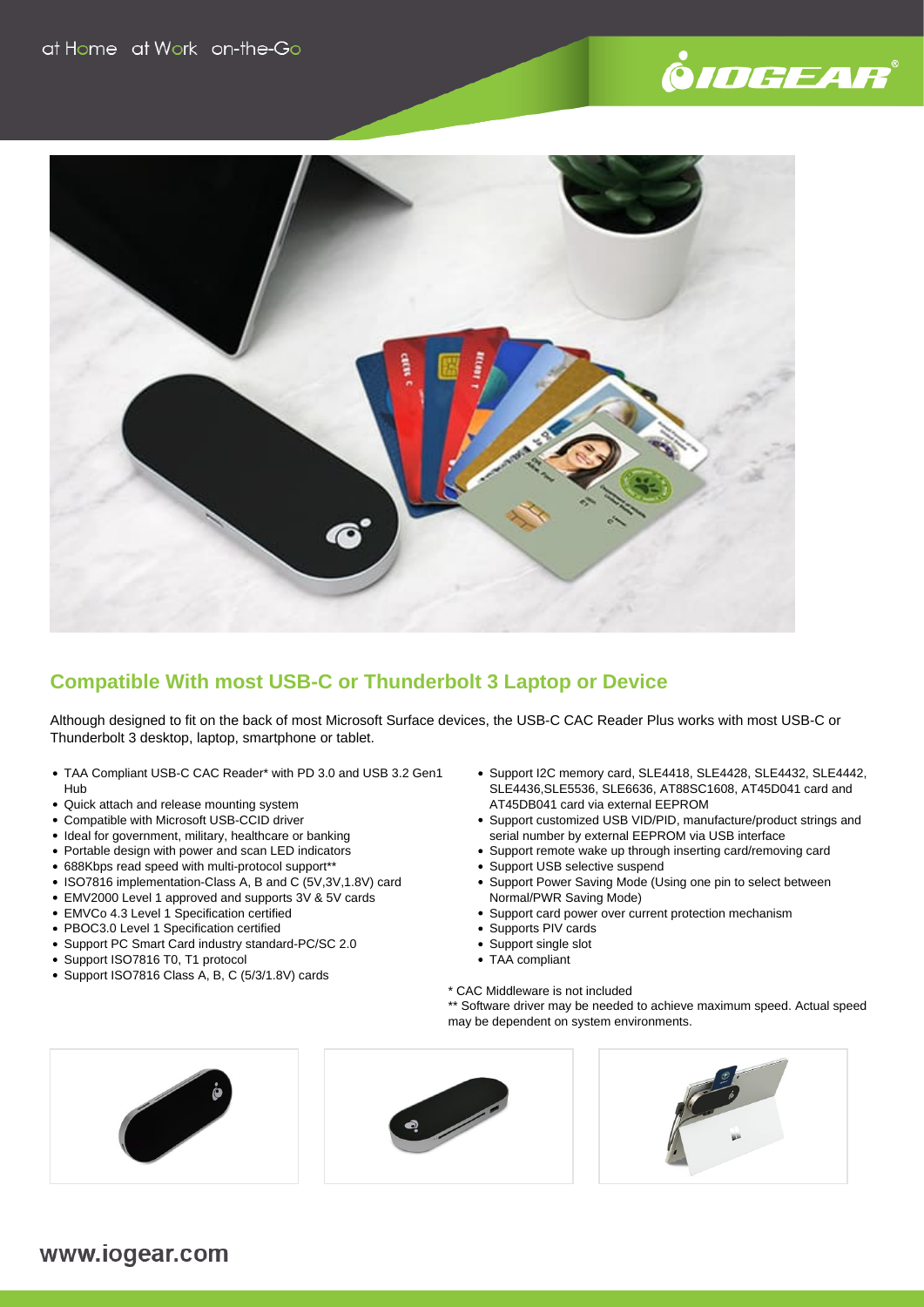# .<br>©*IOGEAR*®



### **Compatible With most USB-C or Thunderbolt 3 Laptop or Device**

Although designed to fit on the back of most Microsoft Surface devices, the USB-C CAC Reader Plus works with most USB-C or Thunderbolt 3 desktop, laptop, smartphone or tablet.

- TAA Compliant USB-C CAC Reader\* with PD 3.0 and USB 3.2 Gen1 Hub
- Quick attach and release mounting system
- Compatible with Microsoft USB-CCID driver
- Ideal for government, military, healthcare or banking
- Portable design with power and scan LED indicators
- 688Kbps read speed with multi-protocol support\*\*
- ISO7816 implementation-Class A, B and C (5V,3V,1.8V) card
- EMV2000 Level 1 approved and supports 3V & 5V cards
- EMVCo 4.3 Level 1 Specification certified
- PBOC3.0 Level 1 Specification certified
- Support PC Smart Card industry standard-PC/SC 2.0
- Support ISO7816 T0, T1 protocol
- Support ISO7816 Class A, B, C (5/3/1.8V) cards
- Support I2C memory card, SLE4418, SLE4428, SLE4432, SLE4442, SLE4436,SLE5536, SLE6636, AT88SC1608, AT45D041 card and AT45DB041 card via external EEPROM
- Support customized USB VID/PID, manufacture/product strings and serial number by external EEPROM via USB interface
- Support remote wake up through inserting card/removing card
- Support USB selective suspend
- Support Power Saving Mode (Using one pin to select between Normal/PWR Saving Mode)
- Support card power over current protection mechanism
- Supports PIV cards
- Support single slot
- TAA compliant
- \* CAC Middleware is not included

\*\* Software driver may be needed to achieve maximum speed. Actual speed may be dependent on system environments.